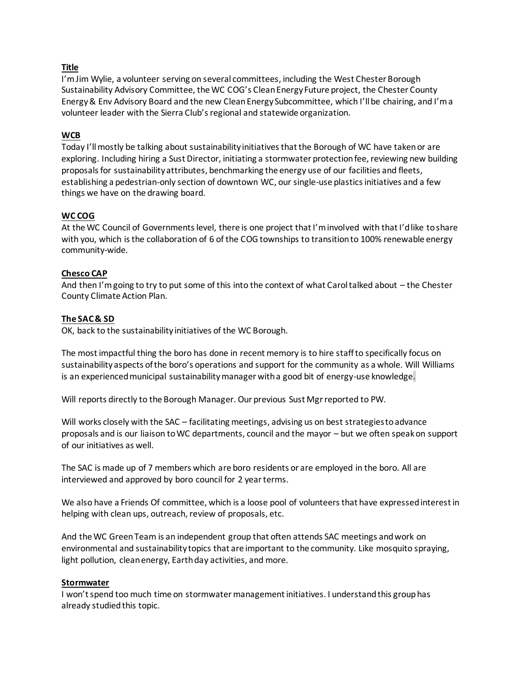## **Title**

I'm Jim Wylie, a volunteer serving on several committees, including the West Chester Borough Sustainability Advisory Committee, the WC COG's Clean Energy Future project, the Chester County Energy & Env Advisory Board and the new Clean Energy Subcommittee, which I'll be chairing, and I'm a volunteer leader with the Sierra Club's regional and statewide organization.

# **WCB**

Today I'll mostly be talking about sustainability initiatives that the Borough of WC have taken or are exploring. Including hiring a Sust Director, initiating a stormwater protection fee, reviewing new building proposals for sustainability attributes, benchmarking the energy use of our facilities and fleets, establishing a pedestrian-only section of downtown WC, our single-use plastics initiatives and a few things we have on the drawing board.

## **WC COG**

At the WC Council of Governments level, there is one project that I'm involved with that I'd like to share with you, which is the collaboration of 6 of the COG townships to transition to 100% renewable energy community-wide.

## **Chesco CAP**

And then I'm going to try to put some of this into the context of what Carol talked about – the Chester County Climate Action Plan.

## **The SAC & SD**

OK, back to the sustainability initiatives of the WC Borough.

The most impactful thing the boro has done in recent memory is to hire staff to specifically focus on sustainability aspects of the boro's operations and support for the community as a whole. Will Williams is an experienced municipal sustainability manager with a good bit of energy-use knowledge.

Will reports directly to the Borough Manager. Our previous Sust Mgr reported to PW.

Will works closely with the SAC – facilitating meetings, advising us on best strategies to advance proposals and is our liaison to WC departments, council and the mayor – but we often speak on support of our initiatives as well.

The SAC is made up of 7 members which are boro residents or are employed in the boro. All are interviewed and approved by boro council for 2 year terms.

We also have a Friends Of committee, which is a loose pool of volunteers that have expressed interest in helping with clean ups, outreach, review of proposals, etc.

And the WC Green Team is an independent group that often attends SAC meetings and work on environmental and sustainability topics that are important to the community. Like mosquito spraying, light pollution, clean energy, Earth day activities, and more.

### **Stormwater**

I won't spend too much time on stormwater management initiatives. I understand this group has already studied this topic.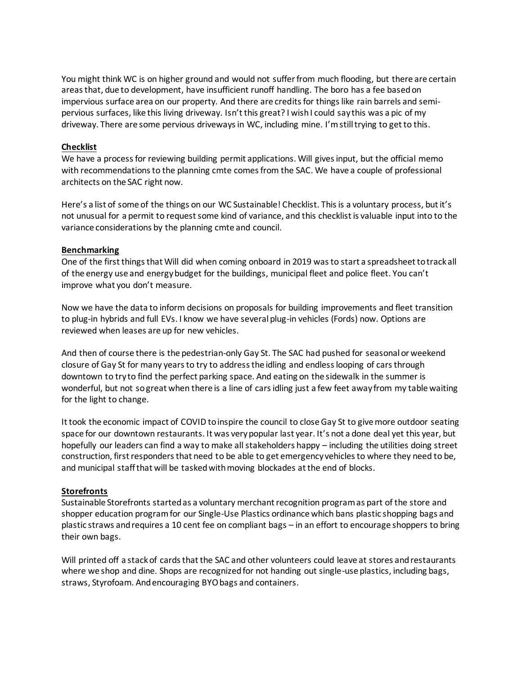You might think WC is on higher ground and would not suffer from much flooding, but there are certain areas that, due to development, have insufficient runoff handling. The boro has a fee based on impervious surface area on our property. And there are credits for things like rain barrels and semipervious surfaces, like this living driveway. Isn't this great? I wish I could say this was a pic of my driveway. There are some pervious driveways in WC, including mine. I'm still trying to get to this.

### **Checklist**

We have a process for reviewing building permit applications. Will gives input, but the official memo with recommendations to the planning cmte comes from the SAC. We have a couple of professional architects on the SAC right now.

Here's a list of some of the things on our WC Sustainable! Checklist. This is a voluntary process, but it's not unusual for a permit to request some kind of variance, and this checklist is valuable input into to the variance considerations by the planning cmte and council.

#### **Benchmarking**

One of the first things that Will did when coming onboard in 2019 was to start a spreadsheet to track all of the energy use and energy budget for the buildings, municipal fleet and police fleet. You can't improve what you don't measure.

Now we have the data to inform decisions on proposals for building improvements and fleet transition to plug-in hybrids and full EVs. I know we have several plug-in vehicles (Fords) now. Options are reviewed when leases are up for new vehicles.

And then of course there is the pedestrian-only Gay St. The SAC had pushed for seasonal or weekend closure of Gay St for many years to try to address the idling and endless looping of cars through downtown to try to find the perfect parking space. And eating on the sidewalk in the summer is wonderful, but not so great when there is a line of cars idling just a few feet away from my table waiting for the light to change.

It took the economic impact of COVID to inspire the council to close Gay St to give more outdoor seating space for our downtown restaurants. It was very popular last year. It's not a done deal yet this year, but hopefully our leaders can find a way to make all stakeholders happy – including the utilities doing street construction, first responders that need to be able to get emergency vehicles to where they need to be, and municipal staff that will be tasked with moving blockades at the end of blocks.

#### **Storefronts**

Sustainable Storefronts started as a voluntary merchant recognition program as part of the store and shopper education program for our Single-Use Plastics ordinance which bans plastic shopping bags and plastic straws and requires a 10 cent fee on compliant bags – in an effort to encourage shoppers to bring their own bags.

Will printed off a stack of cards that the SAC and other volunteers could leave at stores and restaurants where we shop and dine. Shops are recognized for not handing out single-use plastics, including bags, straws, Styrofoam. And encouraging BYO bags and containers.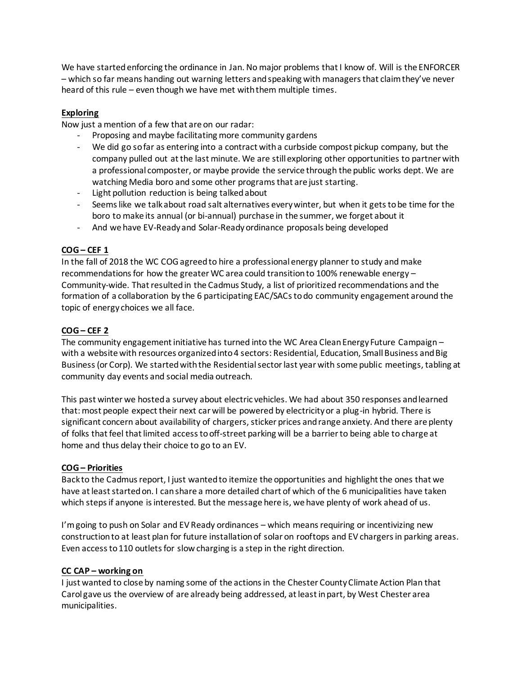We have started enforcing the ordinance in Jan. No major problems that I know of. Will is the ENFORCER – which so far means handing out warning letters and speaking with managers that claim they've never heard of this rule – even though we have met with them multiple times.

# **Exploring**

Now just a mention of a few that are on our radar:

- Proposing and maybe facilitating more community gardens
- We did go so far as entering into a contract with a curbside compost pickup company, but the company pulled out at the last minute. We are still exploring other opportunities to partner with a professional composter, or maybe provide the service through the public works dept. We are watching Media boro and some other programs that are just starting.
- Light pollution reduction is being talked about
- Seems like we talk about road salt alternatives every winter, but when it gets to be time for the boro to make its annual (or bi-annual) purchase in the summer, we forget about it
- And we have EV-Ready and Solar-Ready ordinance proposals being developed

# **COG – CEF 1**

In the fall of 2018 the WC COG agreed to hire a professional energy planner to study and make recommendations for how the greater WC area could transition to 100% renewable energy – Community-wide. That resulted in the Cadmus Study, a list of prioritized recommendations and the formation of a collaboration by the 6 participating EAC/SACs to do community engagement around the topic of energy choices we all face.

# **COG – CEF 2**

The community engagement initiative has turned into the WC Area Clean Energy Future Campaign – with a website with resources organized into 4 sectors: Residential, Education, Small Business and Big Business (or Corp). We started with the Residential sector last year with some public meetings, tabling at community day events and social media outreach.

This past winter we hosted a survey about electric vehicles. We had about 350 responses and learned that: most people expect their next car will be powered by electricity or a plug-in hybrid. There is significant concern about availability of chargers, sticker prices and range anxiety. And there are plenty of folks that feel that limited access to off-street parking will be a barrier to being able to charge at home and thus delay their choice to go to an EV.

# **COG – Priorities**

Back to the Cadmus report, I just wanted to itemize the opportunities and highlight the ones that we have at least started on. I can share a more detailed chart of which of the 6 municipalities have taken which steps if anyone is interested. But the message here is, we have plenty of work ahead of us.

I'm going to push on Solar and EV Ready ordinances – which means requiring or incentivizing new construction to at least plan for future installation of solar on rooftops and EV chargers in parking areas. Even access to 110 outlets for slow charging is a step in the right direction.

# **CC CAP – working on**

I just wanted to close by naming some of the actions in the Chester County Climate Action Plan that Carol gave us the overview of are already being addressed, at least in part, by West Chester area municipalities.